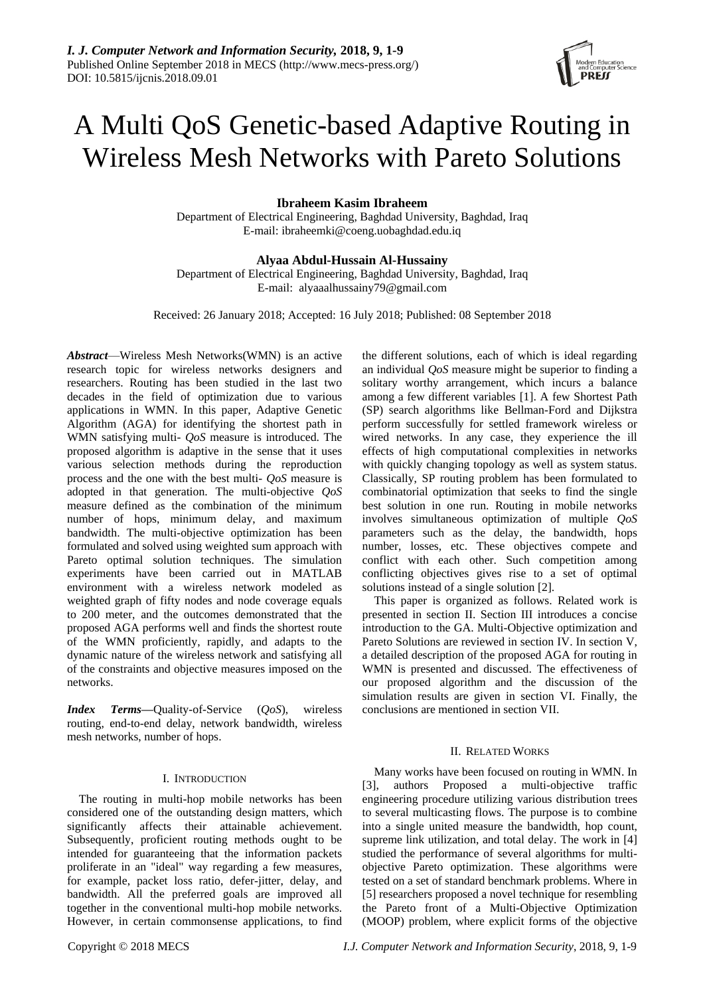# A Multi QoS Genetic-based Adaptive Routing in Wireless Mesh Networks with Pareto Solutions

# **Ibraheem Kasim Ibraheem**

Department of Electrical Engineering, Baghdad University, Baghdad, Iraq E-mail: [ibraheemki@coeng.uobaghdad.edu.iq](mailto:ibraheemki@coeng.uobaghdad.edu.iq)

# **Alyaa Abdul-Hussain Al-Hussainy**

Department of Electrical Engineering, Baghdad University, Baghdad, Iraq E-mail: alyaaalhussainy79@gmail.com

Received: 26 January 2018; Accepted: 16 July 2018; Published: 08 September 2018

*Abstract*—Wireless Mesh Networks(WMN) is an active research topic for wireless networks designers and researchers. Routing has been studied in the last two decades in the field of optimization due to various applications in WMN. In this paper, Adaptive Genetic Algorithm (AGA) for identifying the shortest path in WMN satisfying multi- *QoS* measure is introduced. The proposed algorithm is adaptive in the sense that it uses various selection methods during the reproduction process and the one with the best multi- *QoS* measure is adopted in that generation. The multi-objective *QoS* measure defined as the combination of the minimum number of hops, minimum delay, and maximum bandwidth. The multi-objective optimization has been formulated and solved using weighted sum approach with Pareto optimal solution techniques. The simulation experiments have been carried out in MATLAB environment with a wireless network modeled as weighted graph of fifty nodes and node coverage equals to 200 meter, and the outcomes demonstrated that the proposed AGA performs well and finds the shortest route of the WMN proficiently, rapidly, and adapts to the dynamic nature of the wireless network and satisfying all of the constraints and objective measures imposed on the networks.

*Index Terms***—**Quality-of-Service (*QoS*), wireless routing, end-to-end delay, network bandwidth, wireless mesh networks, number of hops.

# I. INTRODUCTION

The routing in multi-hop mobile networks has been considered one of the outstanding design matters, which significantly affects their attainable achievement. Subsequently, proficient routing methods ought to be intended for guaranteeing that the information packets proliferate in an "ideal" way regarding a few measures, for example, packet loss ratio, defer-jitter, delay, and bandwidth. All the preferred goals are improved all together in the conventional multi-hop mobile networks. However, in certain commonsense applications, to find the different solutions, each of which is ideal regarding an individual *QoS* measure might be superior to finding a solitary worthy arrangement, which incurs a balance among a few different variables [1]. A few Shortest Path (SP) search algorithms like Bellman-Ford and Dijkstra perform successfully for settled framework wireless or wired networks. In any case, they experience the ill effects of high computational complexities in networks with quickly changing topology as well as system status. Classically, SP routing problem has been formulated to combinatorial optimization that seeks to find the single best solution in one run. Routing in mobile networks involves simultaneous optimization of multiple *QoS* parameters such as the delay, the bandwidth, hops number, losses, etc. These objectives compete and conflict with each other. Such competition among conflicting objectives gives rise to a set of optimal solutions instead of a single solution [2].

This paper is organized as follows. Related work is presented in section II. Section III introduces a concise introduction to the GA. Multi-Objective optimization and Pareto Solutions are reviewed in section IV. In section V, a detailed description of the proposed AGA for routing in WMN is presented and discussed. The effectiveness of our proposed algorithm and the discussion of the simulation results are given in section VI. Finally, the conclusions are mentioned in section VII.

# II. RELATED WORKS

Many works have been focused on routing in WMN. In [3], authors Proposed a multi-objective traffic engineering procedure utilizing various distribution trees to several multicasting flows. The purpose is to combine into a single united measure the bandwidth, hop count, supreme link utilization, and total delay. The work in [4] studied the performance of several algorithms for multiobjective Pareto optimization. These algorithms were tested on a set of standard benchmark problems. Where in [5] researchers proposed a novel technique for resembling the Pareto front of a Multi-Objective Optimization (MOOP) problem, where explicit forms of the objective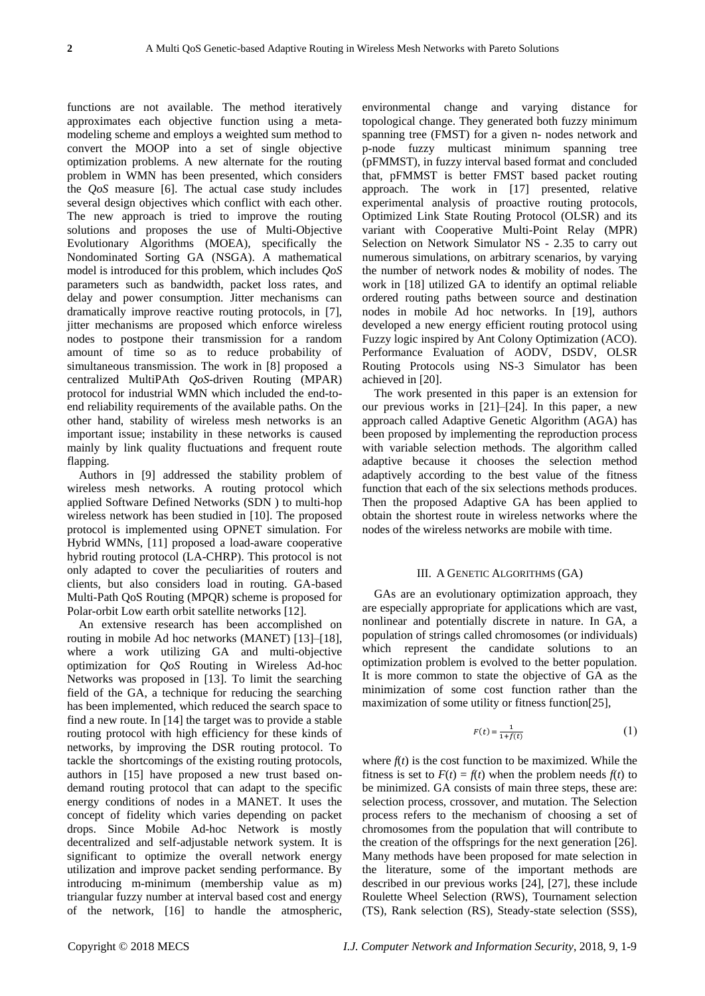functions are not available. The method iteratively approximates each objective function using a metamodeling scheme and employs a weighted sum method to convert the MOOP into a set of single objective optimization problems. A new alternate for the routing problem in WMN has been presented, which considers the *QoS* measure [6]. The actual case study includes several design objectives which conflict with each other. The new approach is tried to improve the routing solutions and proposes the use of Multi-Objective Evolutionary Algorithms (MOEA), specifically the Nondominated Sorting GA (NSGA). A mathematical model is introduced for this problem, which includes *QoS* parameters such as bandwidth, packet loss rates, and delay and power consumption. Jitter mechanisms can dramatically improve reactive routing protocols, in [7], jitter mechanisms are proposed which enforce wireless nodes to postpone their transmission for a random amount of time so as to reduce probability of simultaneous transmission. The work in [8] proposed a centralized MultiPAth *QoS*-driven Routing (MPAR) protocol for industrial WMN which included the end-toend reliability requirements of the available paths. On the other hand, stability of wireless mesh networks is an important issue; instability in these networks is caused mainly by link quality fluctuations and frequent route flapping.

Authors in [9] addressed the stability problem of wireless mesh networks. A routing protocol which applied Software Defined Networks (SDN ) to multi-hop wireless network has been studied in [10]. The proposed protocol is implemented using OPNET simulation. For Hybrid WMNs, [11] proposed a load-aware cooperative hybrid routing protocol (LA-CHRP). This protocol is not only adapted to cover the peculiarities of routers and clients, but also considers load in routing. GA-based Multi-Path QoS Routing (MPQR) scheme is proposed for Polar-orbit Low earth orbit satellite networks [12].

An extensive research has been accomplished on routing in mobile Ad hoc networks (MANET) [13]–[18], where a work utilizing GA and multi-objective optimization for *QoS* Routing in Wireless Ad-hoc Networks was proposed in [13]. To limit the searching field of the GA, a technique for reducing the searching has been implemented, which reduced the search space to find a new route. In [14] the target was to provide a stable routing protocol with high efficiency for these kinds of networks, by improving the DSR routing protocol. To tackle the shortcomings of the existing routing protocols, authors in [15] have proposed a new trust based ondemand routing protocol that can adapt to the specific energy conditions of nodes in a MANET. It uses the concept of fidelity which varies depending on packet drops. Since Mobile Ad-hoc Network is mostly decentralized and self-adjustable network system. It is significant to optimize the overall network energy utilization and improve packet sending performance. By introducing m-minimum (membership value as m) triangular fuzzy number at interval based cost and energy of the network, [16] to handle the atmospheric,

environmental change and varying distance for topological change. They generated both fuzzy minimum spanning tree (FMST) for a given n- nodes network and p-node fuzzy multicast minimum spanning tree (pFMMST), in fuzzy interval based format and concluded that, pFMMST is better FMST based packet routing approach. The work in [17] presented, relative experimental analysis of proactive routing protocols, Optimized Link State Routing Protocol (OLSR) and its variant with Cooperative Multi-Point Relay (MPR) Selection on Network Simulator NS - 2.35 to carry out numerous simulations, on arbitrary scenarios, by varying the number of network nodes & mobility of nodes. The work in [18] utilized GA to identify an optimal reliable ordered routing paths between source and destination nodes in mobile Ad hoc networks. In [19], authors developed a new energy efficient routing protocol using Fuzzy logic inspired by Ant Colony Optimization (ACO). Performance Evaluation of AODV, DSDV, OLSR Routing Protocols using NS-3 Simulator has been achieved in [20].

The work presented in this paper is an extension for our previous works in [21]–[24]. In this paper, a new approach called Adaptive Genetic Algorithm (AGA) has been proposed by implementing the reproduction process with variable selection methods. The algorithm called adaptive because it chooses the selection method adaptively according to the best value of the fitness function that each of the six selections methods produces. Then the proposed Adaptive GA has been applied to obtain the shortest route in wireless networks where the nodes of the wireless networks are mobile with time.

# III. A GENETIC ALGORITHMS (GA)

GAs are an evolutionary optimization approach, they are especially appropriate for applications which are vast, nonlinear and potentially discrete in nature. In GA, a population of strings called chromosomes (or individuals) which represent the candidate solutions to an optimization problem is evolved to the better population. It is more common to state the objective of GA as the minimization of some cost function rather than the maximization of some utility or fitness function[25],

$$
F(t) = \frac{1}{1 + f(t)}\tag{1}
$$

where  $f(t)$  is the cost function to be maximized. While the fitness is set to  $F(t) = f(t)$  when the problem needs  $f(t)$  to be minimized. GA consists of main three steps, these are: selection process, crossover, and mutation. The Selection process refers to the mechanism of choosing a set of chromosomes from the population that will contribute to the creation of the offsprings for the next generation [26]. Many methods have been proposed for mate selection in the literature, some of the important methods are described in our previous works [24], [27], these include Roulette Wheel Selection (RWS), Tournament selection (TS), Rank selection (RS), Steady-state selection (SSS),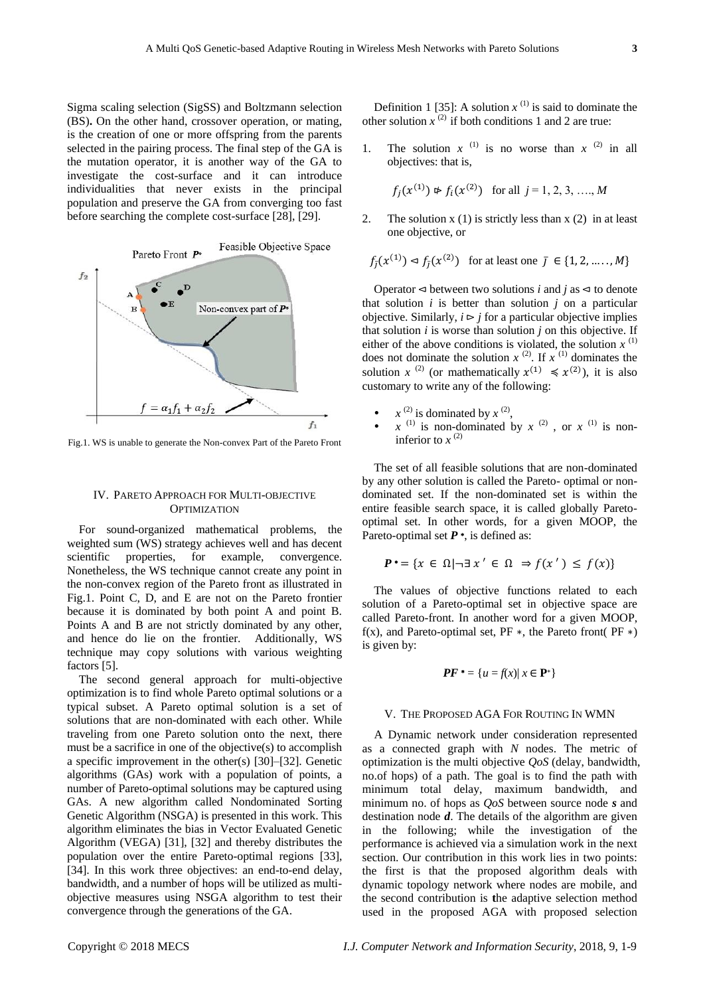Sigma scaling selection (SigSS) and Boltzmann selection (BS)**.** On the other hand, crossover operation, or mating, is the creation of one or more offspring from the parents selected in the pairing process. The final step of the GA is the mutation operator, it is another way of the GA to investigate the cost-surface and it can introduce individualities that never exists in the principal population and preserve the GA from converging too fast before searching the complete cost-surface [28], [29].



Fig.1. WS is unable to generate the Non-convex Part of the Pareto Front

### IV. PARETO APPROACH FOR MULTI-OBJECTIVE **OPTIMIZATION**

For sound-organized mathematical problems, the weighted sum (WS) strategy achieves well and has decent scientific properties, for example, convergence. Nonetheless, the WS technique cannot create any point in the non-convex region of the Pareto front as illustrated in Fig.1. Point C, D, and E are not on the Pareto frontier because it is dominated by both point A and point B. Points A and B are not strictly dominated by any other, and hence do lie on the frontier. Additionally, WS technique may copy solutions with various weighting factors [5].

The second general approach for multi-objective optimization is to find whole Pareto optimal solutions or a typical subset. A Pareto optimal solution is a set of solutions that are non-dominated with each other. While traveling from one Pareto solution onto the next, there must be a sacrifice in one of the objective(s) to accomplish a specific improvement in the other(s) [30]–[32]. Genetic algorithms (GAs) work with a population of points, a number of Pareto-optimal solutions may be captured using GAs. A new algorithm called Nondominated Sorting Genetic Algorithm (NSGA) is presented in this work. This algorithm eliminates the bias in Vector Evaluated Genetic Algorithm (VEGA) [31], [32] and thereby distributes the population over the entire Pareto-optimal regions [33], [34]. In this work three objectives: an end-to-end delay, bandwidth, and a number of hops will be utilized as multiobjective measures using NSGA algorithm to test their convergence through the generations of the GA.

Definition 1 [35]: A solution  $x^{(1)}$  is said to dominate the other solution  $x^{(2)}$  if both conditions 1 and 2 are true:

1. The solution  $x^{(1)}$  is no worse than  $x^{(2)}$  in all objectives: that is,

$$
f_j(x^{(1)}) \not\approx f_i(x^{(2)})
$$
 for all  $j = 1, 2, 3, \dots, M$ 

2. The solution  $x(1)$  is strictly less than  $x(2)$  in at least one objective, or

$$
f_{\bar{j}}(x^{(1)}) \lhd f_{\bar{j}}(x^{(2)})
$$
 for at least one  $\bar{j} \in \{1, 2, ..., M\}$ 

Operator  $\triangleleft$  between two solutions *i* and *j* as  $\triangleleft$  to denote that solution  $i$  is better than solution  $j$  on a particular objective. Similarly,  $i \triangleright j$  for a particular objective implies that solution *i* is worse than solution *j* on this objective. If either of the above conditions is violated, the solution  $x^{(1)}$ does not dominate the solution  $x^{(2)}$ . If  $x^{(1)}$  dominates the solution *x*<sup>(2)</sup> (or mathematically  $x^{(1)} \le x^{(2)}$ ), it is also customary to write any of the following:

- $x^{(2)}$  is dominated by  $x^{(2)}$ ,
- $x^{(1)}$  is non-dominated by  $x^{(2)}$ , or  $x^{(1)}$  is noninferior to  $x^{(2)}$

The set of all feasible solutions that are non-dominated by any other solution is called the Pareto- optimal or nondominated set. If the non-dominated set is within the entire feasible search space, it is called globally Paretooptimal set. In other words, for a given MOOP, the Pareto-optimal set **P** <sup>∗</sup>, is defined as:

$$
P^* = \{ x \in \Omega \mid \neg \exists x' \in \Omega \Rightarrow f(x') \le f(x) \}
$$

The values of objective functions related to each solution of a Pareto-optimal set in objective space are called Pareto-front. In another word for a given MOOP, f(x), and Pareto-optimal set, PF  $*$ , the Pareto front( PF  $*$ ) is given by:

$$
PF^* = \{u = f(x) | x \in \mathbf{P}^*\}
$$

# V. THE PROPOSED AGA FOR ROUTING IN WMN

A Dynamic network under consideration represented as a connected graph with *N* nodes. The metric of optimization is the multi objective *QoS* (delay, bandwidth, no.of hops) of a path. The goal is to find the path with minimum total delay, maximum bandwidth, and minimum no. of hops as *QoS* between source node *s* and destination node *d*. The details of the algorithm are given in the following; while the investigation of the performance is achieved via a simulation work in the next section. Our contribution in this work lies in two points: the first is that the proposed algorithm deals with dynamic topology network where nodes are mobile, and the second contribution is **t**he adaptive selection method used in the proposed AGA with proposed selection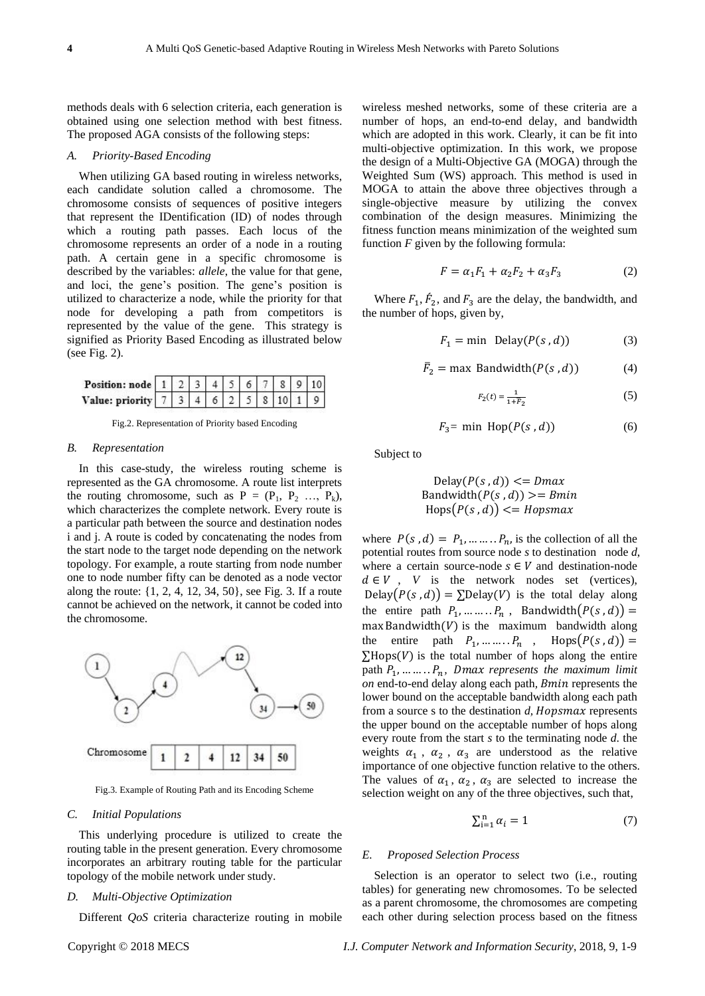methods deals with 6 selection criteria, each generation is obtained using one selection method with best fitness. The proposed AGA consists of the following steps:

# *A. Priority-Based Encoding*

When utilizing GA based routing in wireless networks, each candidate solution called a chromosome. The chromosome consists of sequences of positive integers that represent the IDentification (ID) of nodes through which a routing path passes. Each locus of the chromosome represents an order of a node in a routing path. A certain gene in a specific chromosome is described by the variables: *allele*, the value for that gene, and loci, the gene's position. The gene's position is utilized to characterize a node, while the priority for that node for developing a path from competitors is represented by the value of the gene. This strategy is signified as Priority Based Encoding as illustrated below (see Fig. 2).

| <b>Position:</b> node   1   2   3   4   5   6   7   8   9   10 |  |  |  |  |  |
|----------------------------------------------------------------|--|--|--|--|--|
| Value: priority   7   3   4   6   2   5   8   10   1   9       |  |  |  |  |  |

Fig.2. Representation of Priority based Encoding

# *B. Representation*

In this case-study, the wireless routing scheme is represented as the GA chromosome. A route list interprets the routing chromosome, such as  $P = (P_1, P_2, \ldots, P_k)$ , which characterizes the complete network. Every route is a particular path between the source and destination nodes i and j. A route is coded by concatenating the nodes from the start node to the target node depending on the network topology. For example, a route starting from node number one to node number fifty can be denoted as a node vector along the route: {1, 2, 4, 12, 34, 50}, see Fig. 3. If a route cannot be achieved on the network, it cannot be coded into the chromosome.



Fig.3. Example of Routing Path and its Encoding Scheme

#### *C. Initial Populations*

This underlying procedure is utilized to create the routing table in the present generation. Every chromosome incorporates an arbitrary routing table for the particular topology of the mobile network under study.

# *D. Multi-Objective Optimization*

Different *QoS* criteria characterize routing in mobile

wireless meshed networks, some of these criteria are a number of hops, an end-to-end delay, and bandwidth which are adopted in this work. Clearly, it can be fit into multi-objective optimization. In this work, we propose the design of a Multi-Objective GA (MOGA) through the Weighted Sum (WS) approach. This method is used in MOGA to attain the above three objectives through a single-objective measure by utilizing the convex combination of the design measures. Minimizing the fitness function means minimization of the weighted sum function *F* given by the following formula:

$$
F = \alpha_1 F_1 + \alpha_2 F_2 + \alpha_3 F_3 \tag{2}
$$

Where  $F_1$ ,  $\dot{F}_2$ , and  $F_3$  are the delay, the bandwidth, and the number of hops, given by,

$$
F_1 = \min \text{ Delay}(P(s, d)) \tag{3}
$$

$$
\bar{F}_2 = \max \text{ Bandwidth}(P(s, d)) \tag{4}
$$

$$
F_2(t) = \frac{1}{1 + \overline{F}_2} \tag{5}
$$

$$
F_3 = \min \, \text{Hop}(P(s, d)) \tag{6}
$$

Subject to

$$
Delay(P(s, d)) \leq Dmax
$$
  
Bandwidth(P(s, d)) > = Bmin  
Hops(P(s, d)) \leq Hopsmax

where  $P(s, d) = P_1, \dots, P_n$  is the collection of all the potential routes from source node *s* to destination node *d*, where a certain source-node  $s \in V$  and destination-node  $d \in V$ , *V* is the network nodes set (vertices), Delay( $P(s, d)$ ) = ∑Delay(V) is the total delay along the entire path  $P_1, \ldots, P_n$ , Bandwidth $(P(s, d))$  =  $max$  Bandwidth $(V)$  is the maximum bandwidth along the entire path  $P_1, \dots, P_n$ , Hops $(P(s, d))$  =  $\Sigma$ Hops(V) is the total number of hops along the entire path  $P_1$ , ... ... .  $P_n$ , Dmax represents the maximum limit *on* end-to-end delay along each path, *Bmin* represents the lower bound on the acceptable bandwidth along each path from a source s to the destination *d*, *Hopsmax* represents the upper bound on the acceptable number of hops along every route from the start *s* to the terminating node *d*. the weights  $\alpha_1$ ,  $\alpha_2$ ,  $\alpha_3$  are understood as the relative importance of one objective function relative to the others. The values of  $\alpha_1$ ,  $\alpha_2$ ,  $\alpha_3$  are selected to increase the selection weight on any of the three objectives, such that,

$$
\sum_{i=1}^{n} \alpha_i = 1 \tag{7}
$$

# *E. Proposed Selection Process*

Selection is an operator to select two (i.e., routing tables) for generating new chromosomes. To be selected as a parent chromosome, the chromosomes are competing each other during selection process based on the fitness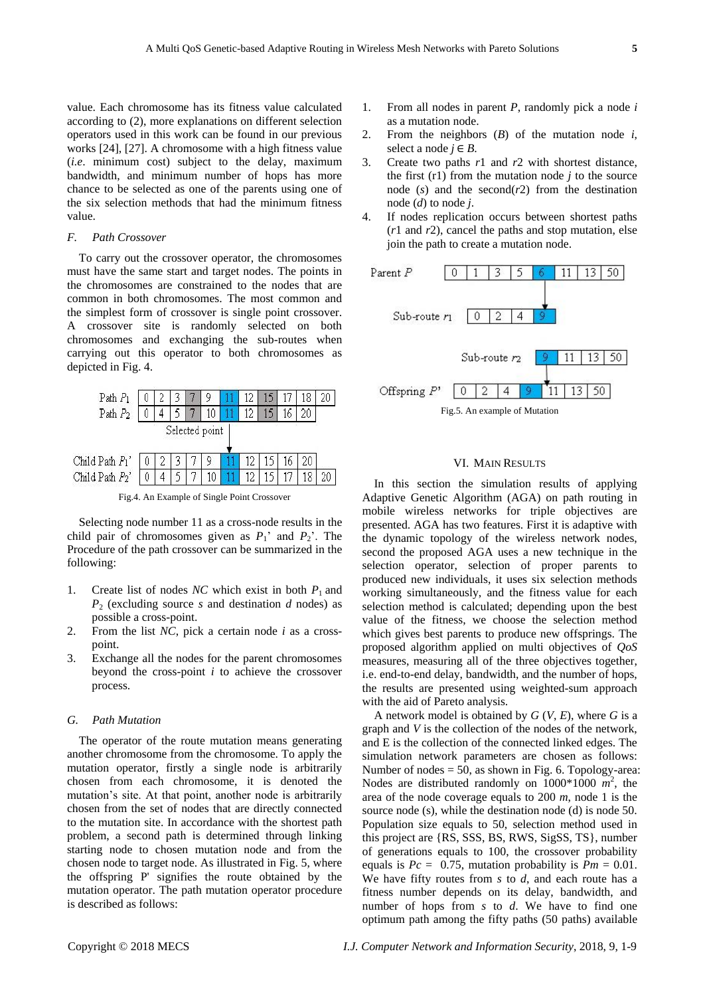value. Each chromosome has its fitness value calculated according to (2), more explanations on different selection operators used in this work can be found in our previous works [24], [27]. A chromosome with a high fitness value (*i.e*. minimum cost) subject to the delay, maximum bandwidth, and minimum number of hops has more chance to be selected as one of the parents using one of the six selection methods that had the minimum fitness

# *F. Path Crossover*

value.

To carry out the crossover operator, the chromosomes must have the same start and target nodes. The points in the chromosomes are constrained to the nodes that are common in both chromosomes. The most common and the simplest form of crossover is single point crossover. A crossover site is randomly selected on both chromosomes and exchanging the sub-routes when carrying out this operator to both chromosomes as depicted in Fig. 4.



Selecting node number 11 as a cross-node results in the child pair of chromosomes given as  $P_1$ <sup>'</sup> and  $P_2$ <sup>'</sup>. The Procedure of the path crossover can be summarized in the following:

- 1. Create list of nodes *NC* which exist in both  $P_1$  and *P*<sup>2</sup> (excluding source *s* and destination *d* nodes) as possible a cross-point.
- 2. From the list *NC*, pick a certain node *i* as a crosspoint.
- 3. Exchange all the nodes for the parent chromosomes beyond the cross-point *i* to achieve the crossover process.

# *G. Path Mutation*

The operator of the route mutation means generating another chromosome from the chromosome. To apply the mutation operator, firstly a single node is arbitrarily chosen from each chromosome, it is denoted the mutation's site. At that point, another node is arbitrarily chosen from the set of nodes that are directly connected to the mutation site. In accordance with the shortest path problem, a second path is determined through linking starting node to chosen mutation node and from the chosen node to target node. As illustrated in Fig. 5, where the offspring P' signifies the route obtained by the mutation operator. The path mutation operator procedure is described as follows:

- 1. From all nodes in parent *P*, randomly pick a node *i* as a mutation node.
- 2. From the neighbors (*B*) of the mutation node *i*, select a node  $j \in B$ .
- 3. Create two paths *r*1 and *r*2 with shortest distance, the first  $(r1)$  from the mutation node *j* to the source node  $(s)$  and the second $(r2)$  from the destination node (*d*) to node *j*.
- 4. If nodes replication occurs between shortest paths (*r*1 and *r*2), cancel the paths and stop mutation, else join the path to create a mutation node.



# VI. MAIN RESULTS

In this section the simulation results of applying Adaptive Genetic Algorithm (AGA) on path routing in mobile wireless networks for triple objectives are presented. AGA has two features. First it is adaptive with the dynamic topology of the wireless network nodes, second the proposed AGA uses a new technique in the selection operator, selection of proper parents to produced new individuals, it uses six selection methods working simultaneously, and the fitness value for each selection method is calculated; depending upon the best value of the fitness, we choose the selection method which gives best parents to produce new offsprings. The proposed algorithm applied on multi objectives of *QoS* measures, measuring all of the three objectives together, i.e. end-to-end delay, bandwidth, and the number of hops, the results are presented using weighted-sum approach with the aid of Pareto analysis.

A network model is obtained by *G* (*V*, *E*), where *G* is a graph and *V* is the collection of the nodes of the network, and E is the collection of the connected linked edges. The simulation network parameters are chosen as follows: Number of nodes  $= 50$ , as shown in Fig. 6. Topology-area: Nodes are distributed randomly on  $1000*1000 \ m^2$ , the area of the node coverage equals to 200 *m*, node 1 is the source node (s), while the destination node (d) is node 50. Population size equals to 50, selection method used in this project are {RS, SSS, BS, RWS, SigSS, TS}, number of generations equals to 100, the crossover probability equals is  $Pc = 0.75$ , mutation probability is  $Pm = 0.01$ . We have fifty routes from *s* to *d*, and each route has a fitness number depends on its delay, bandwidth, and number of hops from *s* to *d*. We have to find one optimum path among the fifty paths (50 paths) available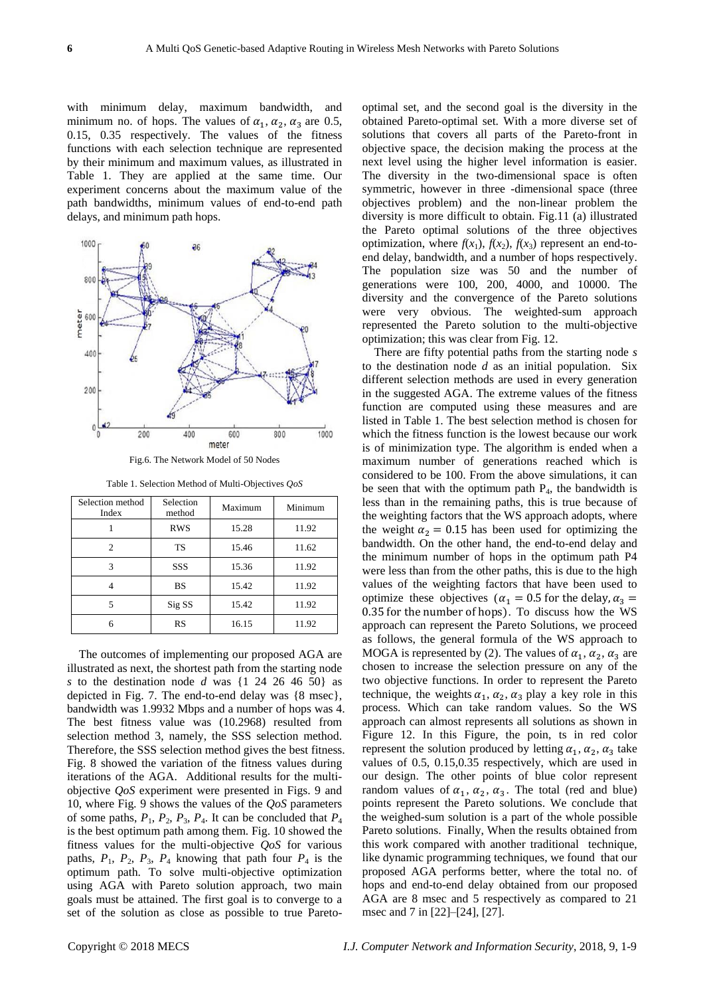with minimum delay, maximum bandwidth, and minimum no. of hops. The values of  $\alpha_1$ ,  $\alpha_2$ ,  $\alpha_3$  are 0.5, 0.15, 0.35 respectively. The values of the fitness functions with each selection technique are represented by their minimum and maximum values, as illustrated in Table 1. They are applied at the same time. Our experiment concerns about the maximum value of the path bandwidths, minimum values of end-to-end path delays, and minimum path hops.



Fig.6. The Network Model of 50 Nodes

| Table 1. Selection Method of Multi-Objectives QoS |  |  |  |  |  |  |
|---------------------------------------------------|--|--|--|--|--|--|
|---------------------------------------------------|--|--|--|--|--|--|

| Selection method<br>Index | Selection<br>method | Maximum | Minimum |  |
|---------------------------|---------------------|---------|---------|--|
|                           | <b>RWS</b>          | 15.28   | 11.92   |  |
| 2                         | TS                  | 15.46   | 11.62   |  |
| 3                         | SSS                 | 15.36   | 11.92   |  |
|                           | BS                  | 15.42   | 11.92   |  |
|                           | Sig SS              | 15.42   | 11.92   |  |
| 6                         | <b>RS</b>           | 16.15   | 11.92   |  |

The outcomes of implementing our proposed AGA are illustrated as next, the shortest path from the starting node *s* to the destination node *d* was {1 24 26 46 50} as depicted in Fig. 7. The end-to-end delay was {8 msec}, bandwidth was 1.9932 Mbps and a number of hops was 4. The best fitness value was (10.2968) resulted from selection method 3, namely, the SSS selection method. Therefore, the SSS selection method gives the best fitness. Fig. 8 showed the variation of the fitness values during iterations of the AGA. Additional results for the multiobjective *QoS* experiment were presented in Figs. 9 and 10, where Fig*.* 9 shows the values of the *QoS* parameters of some paths,  $P_1$ ,  $P_2$ ,  $P_3$ ,  $P_4$ . It can be concluded that  $P_4$ is the best optimum path among them. Fig. 10 showed the fitness values for the multi-objective *QoS* for various paths,  $P_1$ ,  $P_2$ ,  $P_3$ ,  $P_4$  knowing that path four  $P_4$  is the optimum path. To solve multi-objective optimization using AGA with Pareto solution approach, two main goals must be attained. The first goal is to converge to a set of the solution as close as possible to true Paretooptimal set, and the second goal is the diversity in the obtained Pareto-optimal set. With a more diverse set of solutions that covers all parts of the Pareto-front in objective space, the decision making the process at the next level using the higher level information is easier. The diversity in the two-dimensional space is often symmetric, however in three -dimensional space (three objectives problem) and the non-linear problem the diversity is more difficult to obtain. Fig.11 (a) illustrated the Pareto optimal solutions of the three objectives optimization, where  $f(x_1)$ ,  $f(x_2)$ ,  $f(x_3)$  represent an end-toend delay, bandwidth, and a number of hops respectively. The population size was 50 and the number of generations were 100, 200, 4000, and 10000. The diversity and the convergence of the Pareto solutions were very obvious. The weighted-sum approach represented the Pareto solution to the multi-objective optimization; this was clear from Fig. 12.

There are fifty potential paths from the starting node *s* to the destination node *d* as an initial population. Six different selection methods are used in every generation in the suggested AGA. The extreme values of the fitness function are computed using these measures and are listed in Table 1. The best selection method is chosen for which the fitness function is the lowest because our work is of minimization type. The algorithm is ended when a maximum number of generations reached which is considered to be 100. From the above simulations, it can be seen that with the optimum path  $P_4$ , the bandwidth is less than in the remaining paths, this is true because of the weighting factors that the WS approach adopts, where the weight  $\alpha_2 = 0.15$  has been used for optimizing the bandwidth. On the other hand, the end-to-end delay and the minimum number of hops in the optimum path P4 were less than from the other paths, this is due to the high values of the weighting factors that have been used to optimize these objectives ( $\alpha_1 = 0.5$  for the delay,  $\alpha_3 =$ 0.35 for the number of hops). To discuss how the WS approach can represent the Pareto Solutions, we proceed as follows, the general formula of the WS approach to MOGA is represented by (2). The values of  $\alpha_1$ ,  $\alpha_2$ ,  $\alpha_3$  are chosen to increase the selection pressure on any of the two objective functions. In order to represent the Pareto technique, the weights  $\alpha_1$ ,  $\alpha_2$ ,  $\alpha_3$  play a key role in this process. Which can take random values. So the WS approach can almost represents all solutions as shown in Figure 12. In this Figure, the poin, ts in red color represent the solution produced by letting  $\alpha_1$ ,  $\alpha_2$ ,  $\alpha_3$  take values of 0.5, 0.15,0.35 respectively, which are used in our design. The other points of blue color represent random values of  $\alpha_1$ ,  $\alpha_2$ ,  $\alpha_3$ . The total (red and blue) points represent the Pareto solutions. We conclude that the weighed-sum solution is a part of the whole possible Pareto solutions. Finally, When the results obtained from this work compared with another traditional technique, like dynamic programming techniques, we found that our proposed AGA performs better, where the total no. of hops and end-to-end delay obtained from our proposed AGA are 8 msec and 5 respectively as compared to 21 msec and 7 in [22]–[24], [27].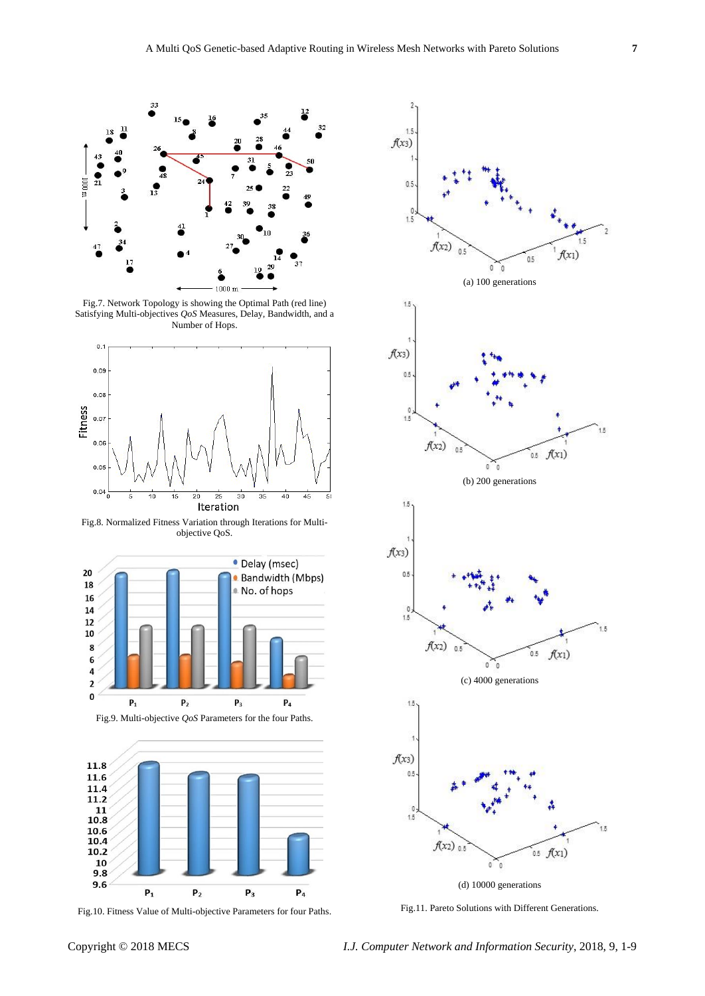

Fig.7. Network Topology is showing the Optimal Path (red line) Satisfying Multi-objectives *QoS* Measures, Delay, Bandwidth, and a Number of Hops.



Fig.8. Normalized Fitness Variation through Iterations for Multiobjective QoS.





Fig.10. Fitness Value of Multi-objective Parameters for four Paths.



Fig.11. Pareto Solutions with Different Generations.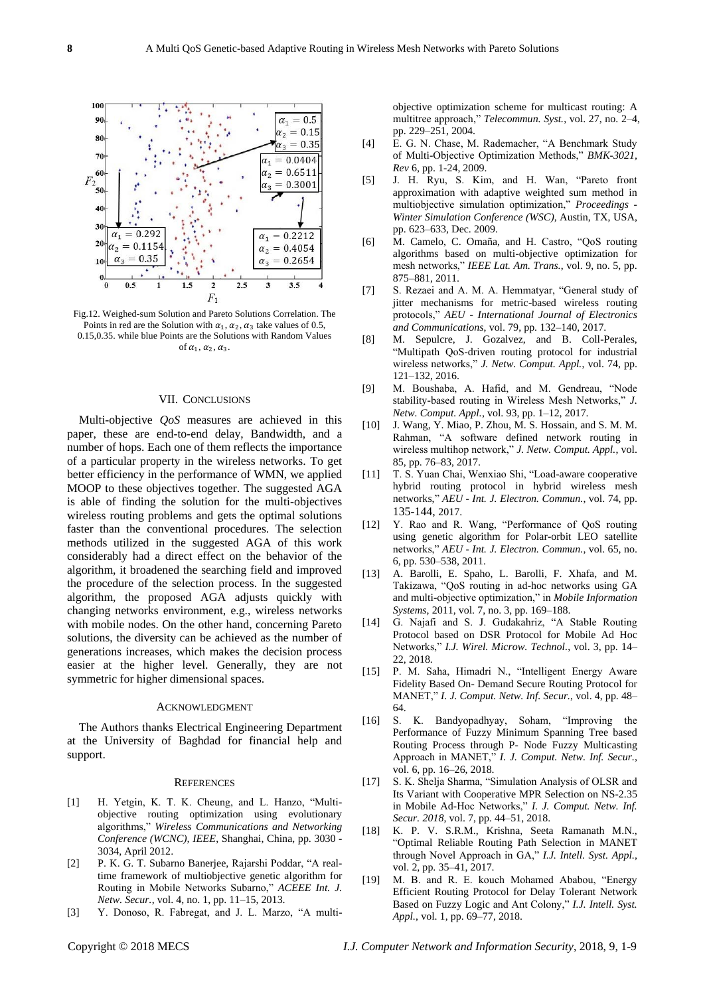

Fig.12. Weighed-sum Solution and Pareto Solutions Correlation. The Points in red are the Solution with  $\alpha_1$ ,  $\alpha_2$ ,  $\alpha_3$  take values of 0.5, 0.15,0.35. while blue Points are the Solutions with Random Values of  $\alpha_1, \alpha_2, \alpha_3$ .

# VII. CONCLUSIONS

Multi-objective *QoS* measures are achieved in this paper, these are end-to-end delay, Bandwidth, and a number of hops. Each one of them reflects the importance of a particular property in the wireless networks. To get better efficiency in the performance of WMN, we applied MOOP to these objectives together. The suggested AGA is able of finding the solution for the multi-objectives wireless routing problems and gets the optimal solutions faster than the conventional procedures. The selection methods utilized in the suggested AGA of this work considerably had a direct effect on the behavior of the algorithm, it broadened the searching field and improved the procedure of the selection process. In the suggested algorithm, the proposed AGA adjusts quickly with changing networks environment, e.g., wireless networks with mobile nodes. On the other hand, concerning Pareto solutions, the diversity can be achieved as the number of generations increases, which makes the decision process easier at the higher level. Generally, they are not symmetric for higher dimensional spaces.

# ACKNOWLEDGMENT

The Authors thanks Electrical Engineering Department at the University of Baghdad for financial help and support.

#### **REFERENCES**

- [1] H. Yetgin, K. T. K. Cheung, and L. Hanzo, "Multiobjective routing optimization using evolutionary algorithms," *Wireless Communications and Networking Conference (WCNC), IEEE*, Shanghai, China, pp. 3030 - 3034, April 2012.
- [2] P. K. G. T. Subarno Banerjee, Rajarshi Poddar, "A realtime framework of multiobjective genetic algorithm for Routing in Mobile Networks Subarno," *ACEEE Int. J. Netw. Secur.*, vol. 4, no. 1, pp. 11–15, 2013.
- [3] Y. Donoso, R. Fabregat, and J. L. Marzo, "A multi-

objective optimization scheme for multicast routing: A multitree approach," *Telecommun. Syst.*, vol. 27, no. 2–4, pp. 229–251, 2004.

- [4] E. G. N. Chase, M. Rademacher, "A Benchmark Study of Multi-Objective Optimization Methods," *BMK-3021, Rev* 6, pp. 1-24, 2009.
- [5] J. H. Ryu, S. Kim, and H. Wan, "Pareto front approximation with adaptive weighted sum method in multiobjective simulation optimization," *Proceedings - Winter Simulation Conference (WSC)*, Austin, TX, USA, pp. 623–633, Dec. 2009.
- [6] M. Camelo, C. Omaña, and H. Castro, "QoS routing algorithms based on multi-objective optimization for mesh networks," *IEEE Lat. Am. Trans.*, vol. 9, no. 5, pp. 875–881, 2011.
- [7] S. Rezaei and A. M. A. Hemmatyar, "General study of jitter mechanisms for metric-based wireless routing protocols," *AEU - International Journal of Electronics and Communications*, vol. 79, pp. 132–140, 2017.
- [8] M. Sepulcre, J. Gozalvez, and B. Coll-Perales, "Multipath QoS-driven routing protocol for industrial wireless networks," *J. Netw. Comput. Appl.*, vol. 74, pp. 121–132, 2016.
- [9] M. Boushaba, A. Hafid, and M. Gendreau, "Node stability-based routing in Wireless Mesh Networks," *J. Netw. Comput. Appl.*, vol. 93, pp. 1–12, 2017.
- [10] J. Wang, Y. Miao, P. Zhou, M. S. Hossain, and S. M. M. Rahman, "A software defined network routing in wireless multihop network," *J. Netw. Comput. Appl.*, vol. 85, pp. 76–83, 2017.
- [11] T. S. Yuan Chai, Wenxiao Shi, "Load-aware cooperative hybrid routing protocol in hybrid wireless mesh networks," *AEU - Int. J. Electron. Commun.*, vol. 74, pp. 135-144, 2017.
- [12] Y. Rao and R. Wang, "Performance of QoS routing using genetic algorithm for Polar-orbit LEO satellite networks," *AEU - Int. J. Electron. Commun.*, vol. 65, no. 6, pp. 530–538, 2011.
- [13] A. Barolli, E. Spaho, L. Barolli, F. Xhafa, and M. Takizawa, "QoS routing in ad-hoc networks using GA and multi-objective optimization," in *Mobile Information Systems*, 2011, vol. 7, no. 3, pp. 169–188.
- [14] G. Najafi and S. J. Gudakahriz, "A Stable Routing Protocol based on DSR Protocol for Mobile Ad Hoc Networks," *I.J. Wirel. Microw. Technol.*, vol. 3, pp. 14– 22, 2018.
- [15] P. M. Saha, Himadri N., "Intelligent Energy Aware Fidelity Based On- Demand Secure Routing Protocol for MANET," *I. J. Comput. Netw. Inf. Secur.*, vol. 4, pp. 48– 64.
- [16] S. K. Bandyopadhyay, Soham, "Improving the Performance of Fuzzy Minimum Spanning Tree based Routing Process through P- Node Fuzzy Multicasting Approach in MANET," *I. J. Comput. Netw. Inf. Secur.*, vol. 6, pp. 16–26, 2018.
- [17] S. K. Shelja Sharma, "Simulation Analysis of OLSR and Its Variant with Cooperative MPR Selection on NS-2.35 in Mobile Ad-Hoc Networks," *I. J. Comput. Netw. Inf. Secur. 2018*, vol. 7, pp. 44–51, 2018.
- [18] K. P. V. S.R.M., Krishna, Seeta Ramanath M.N., "Optimal Reliable Routing Path Selection in MANET through Novel Approach in GA," *I.J. Intell. Syst. Appl.*, vol. 2, pp. 35–41, 2017.
- [19] M. B. and R. E. kouch Mohamed Ababou, "Energy Efficient Routing Protocol for Delay Tolerant Network Based on Fuzzy Logic and Ant Colony," *I.J. Intell. Syst. Appl.*, vol. 1, pp. 69–77, 2018.